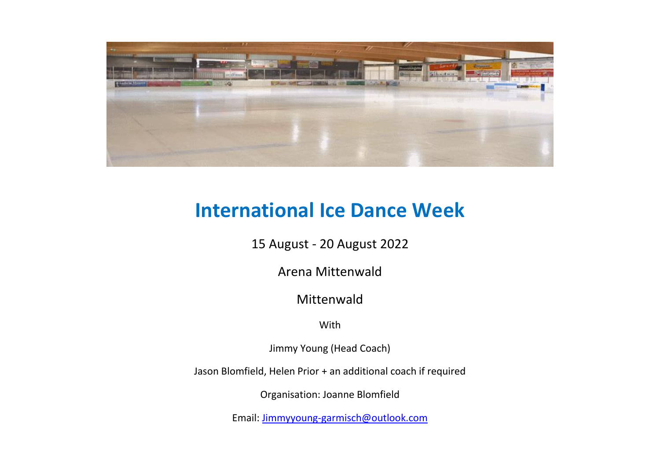

# **International Ice Dance Week**

15 August - 20 August 2022

Arena Mittenwald

# Mittenwald

With

Jimmy Young (Head Coach)

Jason Blomfield, Helen Prior + an additional coach if required

Organisation: Joanne Blomfield

Email: [Jimmyyoung-garmisch@outlook.com](mailto:Jimmyyoung-garmisch@outlook.com)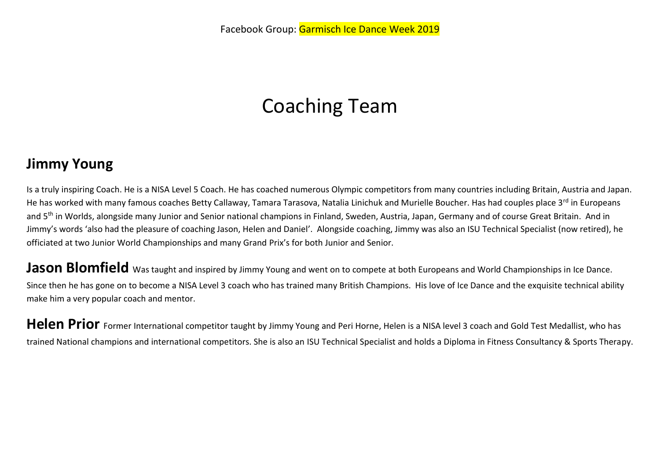# Coaching Team

# **Jimmy Young**

Is a truly inspiring Coach. He is a NISA Level 5 Coach. He has coached numerous Olympic competitors from many countries including Britain, Austria and Japan. He has worked with many famous coaches Betty Callaway, Tamara Tarasova, Natalia Linichuk and Murielle Boucher. Has had couples place 3<sup>rd</sup> in Europeans and 5<sup>th</sup> in Worlds, alongside many Junior and Senior national champions in Finland, Sweden, Austria, Japan, Germany and of course Great Britain. And in Jimmy's words 'also had the pleasure of coaching Jason, Helen and Daniel'. Alongside coaching, Jimmy was also an ISU Technical Specialist (now retired), he officiated at two Junior World Championships and many Grand Prix's for both Junior and Senior.

**Jason Blomfield** Was taught and inspired by Jimmy Young and went on to compete at both Europeans and World Championships in Ice Dance. Since then he has gone on to become a NISA Level 3 coach who has trained many British Champions. His love of Ice Dance and the exquisite technical ability make him a very popular coach and mentor.

Helen Prior Former International competitor taught by Jimmy Young and Peri Horne, Helen is a NISA level 3 coach and Gold Test Medallist, who has trained National champions and international competitors. She is also an ISU Technical Specialist and holds a Diploma in Fitness Consultancy & Sports Therapy.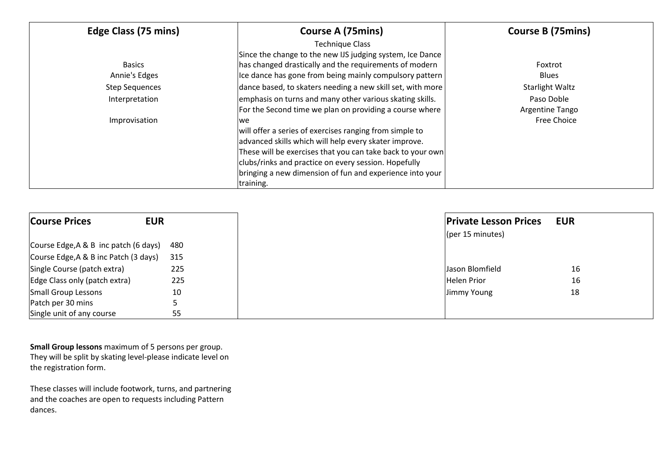| Edge Class (75 mins)  | <b>Course A (75mins)</b>                                   | <b>Course B (75mins)</b> |
|-----------------------|------------------------------------------------------------|--------------------------|
|                       | <b>Technique Class</b>                                     |                          |
|                       | Since the change to the new IJS judging system, Ice Dance  |                          |
| <b>Basics</b>         | has changed drastically and the requirements of modern     | Foxtrot                  |
| Annie's Edges         | Ice dance has gone from being mainly compulsory pattern    | <b>Blues</b>             |
| <b>Step Sequences</b> | dance based, to skaters needing a new skill set, with more | Starlight Waltz          |
| Interpretation        | emphasis on turns and many other various skating skills.   | Paso Doble               |
|                       | For the Second time we plan on providing a course where    | Argentine Tango          |
| Improvisation         | lwe                                                        | Free Choice              |
|                       | will offer a series of exercises ranging from simple to    |                          |
|                       | advanced skills which will help every skater improve.      |                          |
|                       | These will be exercises that you can take back to your own |                          |
|                       | clubs/rinks and practice on every session. Hopefully       |                          |
|                       | bringing a new dimension of fun and experience into your   |                          |
|                       | training.                                                  |                          |

| <b>Course Prices</b>                  | <b>EUR</b> | <b>Private Lesson Prices</b> | <b>EUR</b> |
|---------------------------------------|------------|------------------------------|------------|
|                                       |            | $[$ (per 15 minutes)         |            |
| Course Edge, A & B inc patch (6 days) | 480        |                              |            |
| Course Edge, A & B inc Patch (3 days) | 315        |                              |            |
| Single Course (patch extra)           | 225        | Jason Blomfield              | 16         |
| Edge Class only (patch extra)         | 225        | <b>Helen Prior</b>           | 16         |
| Small Group Lessons                   | 10         | Jimmy Young                  | 18         |
| Patch per 30 mins                     |            |                              |            |
| Single unit of any course             | 55         |                              |            |

**Small Group lessons** maximum of 5 persons per group. They will be split by skating level-please indicate level on the registration form.

These classes will include footwork, turns, and partnering and the coaches are open to requests including Pattern dances.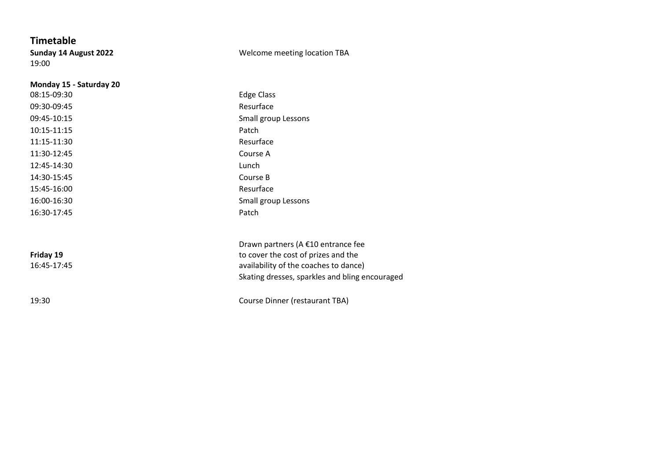**Timetable** 19:00

#### **Sunday 14 August 2022** Welcome meeting location TBA

| Monday 15 - Saturday 20 |                                                |
|-------------------------|------------------------------------------------|
| 08:15-09:30             | <b>Edge Class</b>                              |
| 09:30-09:45             | Resurface                                      |
| 09:45-10:15             | Small group Lessons                            |
| 10:15-11:15             | Patch                                          |
| 11:15-11:30             | Resurface                                      |
| 11:30-12:45             | Course A                                       |
| 12:45-14:30             | Lunch                                          |
| 14:30-15:45             | Course B                                       |
| 15:45-16:00             | Resurface                                      |
| 16:00-16:30             | Small group Lessons                            |
| 16:30-17:45             | Patch                                          |
|                         |                                                |
|                         | Drawn partners (A €10 entrance fee             |
| Friday 19               | to cover the cost of prizes and the            |
| 16:45-17:45             | availability of the coaches to dance)          |
|                         | Skating dresses, sparkles and bling encouraged |
| 19:30                   | Course Dinner (restaurant TBA)                 |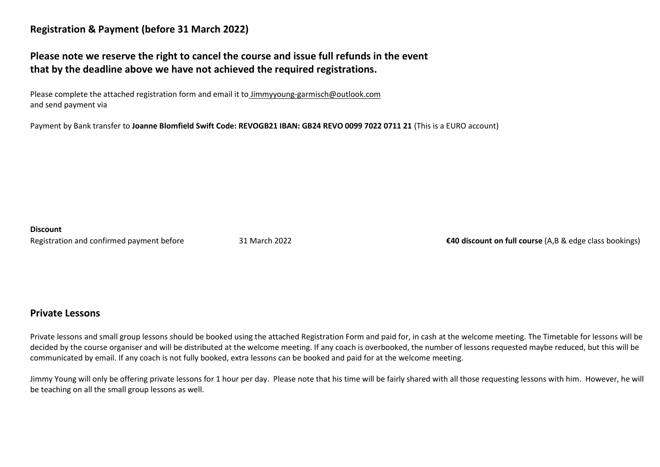### **Registration & Payment (before 31 March 2022)**

## **Please note we reserve the right to cancel the course and issue full refunds in the event that by the deadline above we have not achieved the required registrations.**

Please complete the attached registration form and email it to Jimmyyoung-garmisch@outlook.com and send payment via

Payment by Bank transfer to **Joanne Blomfield Swift Code: REVOGB21 IBAN: GB24 REVO 0099 7022 0711 21** (This is a EURO account)

#### **Discount**

Registration and confirmed payment before 31 March 2022 **€40 discount on full course** (A,B & edge class bookings)

### **Private Lessons**

Private lessons and small group lessons should be booked using the attached Registration Form and paid for, in cash at the welcome meeting. The Timetable for lessons will be decided by the course organiser and will be distributed at the welcome meeting. If any coach is overbooked, the number of lessons requested maybe reduced, but this will be communicated by email. If any coach is not fully booked, extra lessons can be booked and paid for at the welcome meeting.

Jimmy Young will only be offering private lessons for 1 hour per day. Please note that his time will be fairly shared with all those requesting lessons with him. However, he will be teaching on all the small group lessons as well.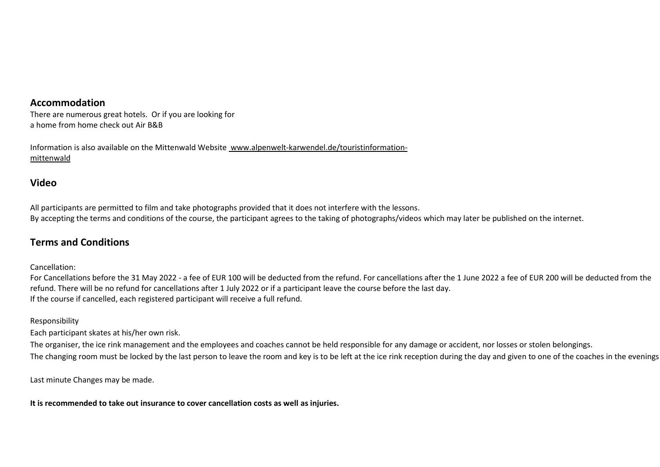### **Accommodation**

There are numerous great hotels. Or if you are looking for a home from home check out Air B&B

Information is also available on the Mittenwald Website www.alpenwelt-karwendel.de/touristinformationmittenwald

### **Video**

All participants are permitted to film and take photographs provided that it does not interfere with the lessons. By accepting the terms and conditions of the course, the participant agrees to the taking of photographs/videos which may later be published on the internet.

### **Terms and Conditions**

Cancellation:

For Cancellations before the 31 May 2022 - a fee of EUR 100 will be deducted from the refund. For cancellations after the 1 June 2022 a fee of EUR 200 will be deducted from the refund. There will be no refund for cancellations after 1 July 2022 or if a participant leave the course before the last day. If the course if cancelled, each registered participant will receive a full refund.

#### Responsibility

Each participant skates at his/her own risk.

The organiser, the ice rink management and the employees and coaches cannot be held responsible for any damage or accident, nor losses or stolen belongings. The changing room must be locked by the last person to leave the room and key is to be left at the ice rink reception during the day and given to one of the coaches in the evenings

Last minute Changes may be made.

**It is recommended to take out insurance to cover cancellation costs as well as injuries.**